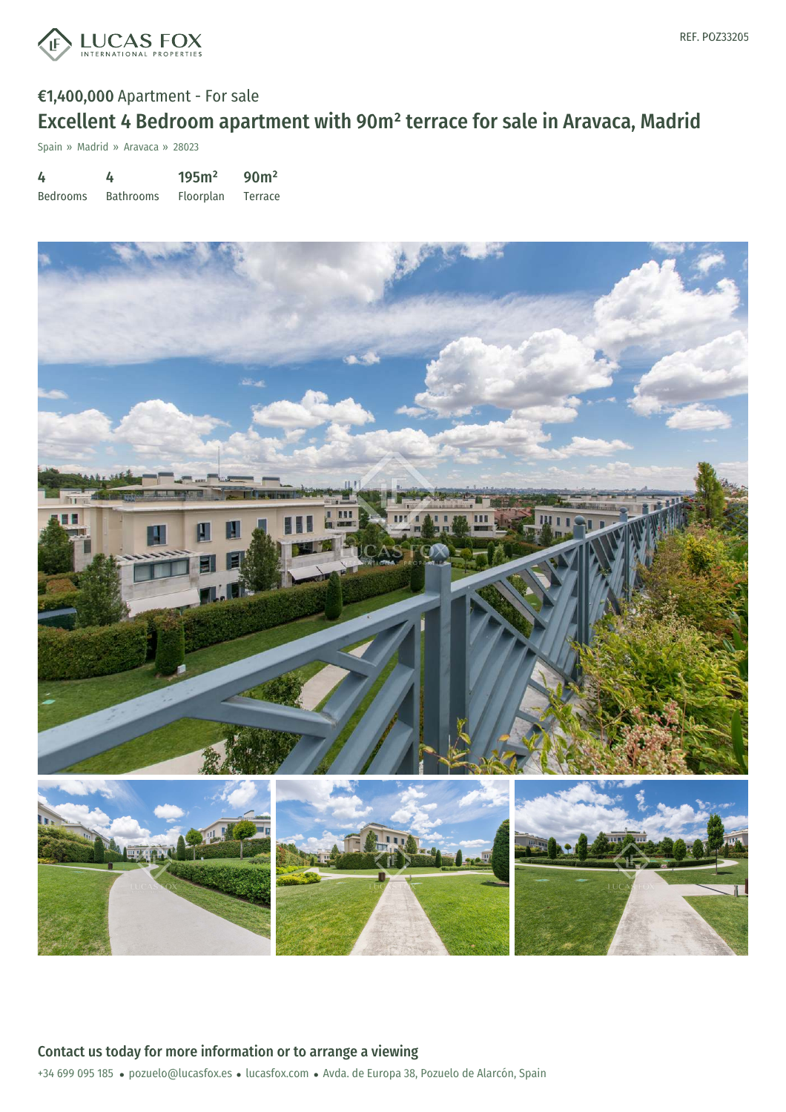

# €1,400,000 Apartment - For sale Excellent 4 Bedroom apartment with 90m² terrace for sale in Aravaca, Madrid

Spain » Madrid » Aravaca » 28023

4 Bedrooms 4 Bathrooms 195m² Floorplan 90m² Terrace

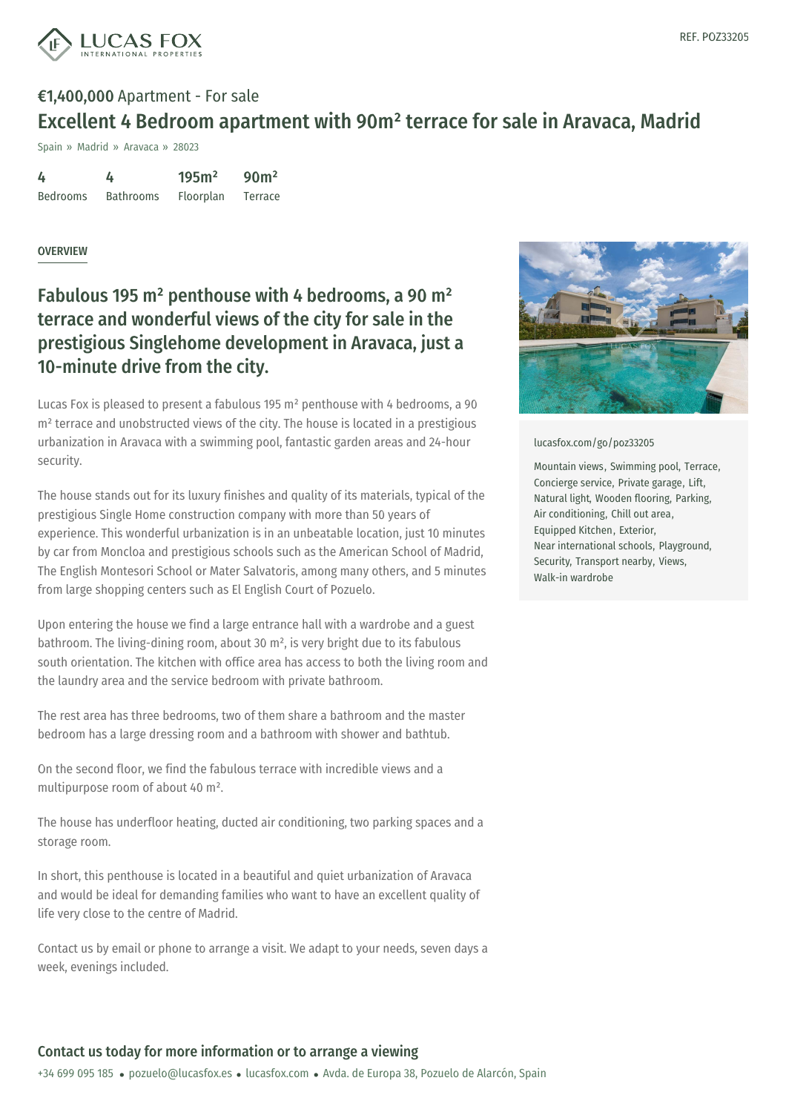![](_page_1_Picture_1.jpeg)

# €1,400,000 Apartment - For sale Excellent 4 Bedroom apartment with 90m² terrace for sale in Aravaca, Madrid

Spain » Madrid » Aravaca » 28023

| 4               | 4                | 195m <sup>2</sup> | 90 <sup>m²</sup> |
|-----------------|------------------|-------------------|------------------|
| <b>Bedrooms</b> | <b>Bathrooms</b> | Floorplan         | Terrace          |

### **OVERVIEW**

## Fabulous 195 m² penthouse with 4 bedrooms, a 90 m² terrace and wonderful views of the city for sale in the prestigious Singlehome development in Aravaca, just a 10-minute drive from the city.

Lucas Fox is pleased to present a fabulous 195 m² penthouse with 4 bedrooms, a 90 m<sup>2</sup> terrace and unobstructed views of the city. The house is located in a prestigious urbanization in Aravaca with a swimming pool, fantastic garden areas and 24-hour security.

The house stands out for its luxury finishes and quality of its materials, typical of the prestigious Single Home construction company with more than 50 years of experience. This wonderful urbanization is in an unbeatable location, just 10 minutes by car from Moncloa and prestigious schools such as the American School of Madrid, The English Montesori School or Mater Salvatoris, among many others, and 5 minutes from large shopping centers such as El English Court of Pozuelo.

Upon entering the house we find a large entrance hall with a wardrobe and a guest bathroom. The living-dining room, about 30 m², is very bright due to its fabulous south orientation. The kitchen with office area has access to both the living room and the laundry area and the service bedroom with private bathroom.

The rest area has three bedrooms, two of them share a bathroom and the master bedroom has a large dressing room and a bathroom with shower and bathtub.

On the second floor, we find the fabulous terrace with incredible views and a multipurpose room of about 40 m².

The house has u[nderfloor](mailto:pozuelo@lucasfox.es) heating, ducted air [condit](https://www.lucasfox.com)ioning, two parking spaces and a storage room.

In short, this penthouse is located in a beautiful and quiet urbanization of Aravaca and would be ideal for demanding families who want to have an excellent quality of life very close to the centre of Madrid.

Contact us by email or phone to arrange a visit. We adapt to your needs, seven days a week, evenings included.

![](_page_1_Picture_15.jpeg)

#### [lucasfox.com/go/poz33205](https://www.lucasfox.com/go/poz33205)

Mountain views, Swimming pool, Terrace, Concierge service, Private garage, Lift, Natural light, Wooden flooring, Parking, Air conditioning, Chill out area, Equipped Kitchen, Exterior, Near international schools, Playground, Security, Transport nearby, Views, Walk-in wardrobe

## Contact us today for more information or to arrange a viewing

+34 699 095 185 · pozuelo@lucasfox.es · lucasfox.com · Avda. de Europa 38, Pozuelo de Alarcón, Spain